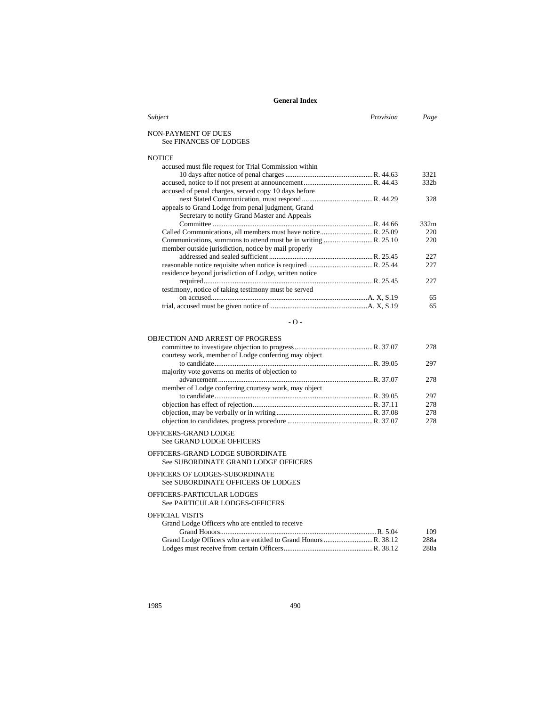| Provision<br>Subject                                   | Page             |
|--------------------------------------------------------|------------------|
| NON-PAYMENT OF DUES                                    |                  |
| <b>See FINANCES OF LODGES</b>                          |                  |
| <b>NOTICE</b>                                          |                  |
| accused must file request for Trial Commission within  |                  |
|                                                        | 3321             |
|                                                        | 332 <sub>b</sub> |
| accused of penal charges, served copy 10 days before   |                  |
|                                                        | 328              |
| appeals to Grand Lodge from penal judgment, Grand      |                  |
| Secretary to notify Grand Master and Appeals           |                  |
|                                                        | 332m             |
|                                                        | 220              |
|                                                        | 220              |
| member outside jurisdiction, notice by mail properly   |                  |
|                                                        | 227              |
|                                                        | 227              |
| residence beyond jurisdiction of Lodge, written notice |                  |
|                                                        | 227              |
| testimony, notice of taking testimony must be served   |                  |
|                                                        | 65               |
|                                                        | 65               |

#### - O -

### OBJECTION AND ARREST OF PROGRESS

| 278 |
|-----|
|     |
| 297 |
|     |
| 278 |
|     |
| 297 |
| 278 |
| 278 |
| 278 |
|     |

#### OFFICERS-GRAND LODGE

See GRAND LODGE OFFICERS

#### OFFICERS-GRAND LODGE SUBORDINATE See SUBORDINATE GRAND LODGE OFFICERS

# OFFICERS OF LODGES-SUBORDINATE

# See SUBORDINATE OFFICERS OF LODGES

### OFFICERS-PARTICULAR LODGES

See PARTICULAR LODGES-OFFICERS

# OFFICIAL VISITS

| Grand Lodge Officers who are entitled to receive |      |
|--------------------------------------------------|------|
|                                                  | 109  |
|                                                  | 288a |
|                                                  | 288a |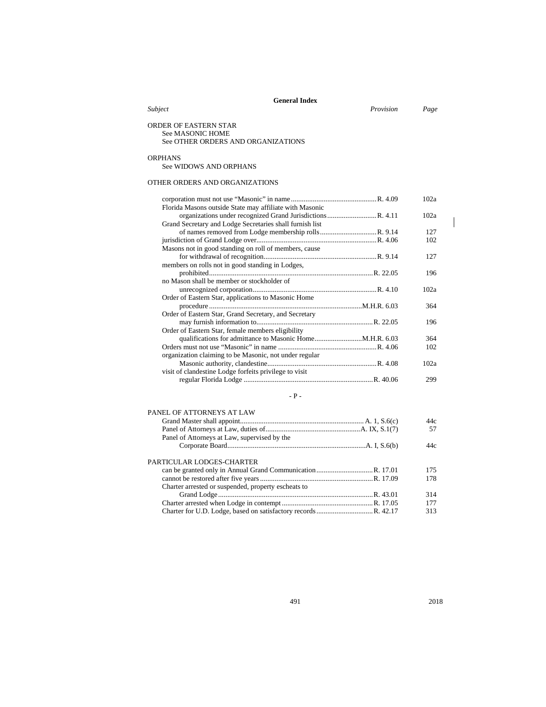|                                                                                 | <b>General Index</b> |      |
|---------------------------------------------------------------------------------|----------------------|------|
| Subject                                                                         | Provision            | Page |
| ORDER OF EASTERN STAR<br>See MASONIC HOME<br>See OTHER ORDERS AND ORGANIZATIONS |                      |      |
| <b>ORPHANS</b><br>See WIDOWS AND ORPHANS                                        |                      |      |
| OTHER ORDERS AND ORGANIZATIONS                                                  |                      |      |
| Florida Masons outside State may affiliate with Masonic                         |                      | 102a |
| Grand Secretary and Lodge Secretaries shall furnish list                        |                      | 102a |
|                                                                                 |                      | 127  |
|                                                                                 |                      | 102  |
| Masons not in good standing on roll of members, cause                           |                      |      |
|                                                                                 |                      | 127  |
| members on rolls not in good standing in Lodges,                                |                      |      |
| no Mason shall be member or stockholder of                                      |                      | 196  |
|                                                                                 |                      | 102a |
| Order of Eastern Star, applications to Masonic Home                             |                      |      |
|                                                                                 |                      | 364  |
| Order of Eastern Star, Grand Secretary, and Secretary                           |                      |      |
|                                                                                 |                      | 196  |
| Order of Eastern Star, female members eligibility                               |                      |      |
|                                                                                 |                      | 364  |
|                                                                                 |                      | 102  |
| organization claiming to be Masonic, not under regular                          |                      |      |
|                                                                                 |                      | 102a |
| visit of clandestine Lodge forfeits privilege to visit                          |                      |      |
|                                                                                 |                      | 299  |
|                                                                                 |                      |      |
|                                                                                 | $-$ P $-$            |      |
| PANEL OF ATTORNEYS AT LAW                                                       |                      |      |
|                                                                                 |                      | 44c  |
|                                                                                 |                      | 57   |
| Panel of Attorneys at Law, supervised by the                                    |                      |      |

|                                                     | 44c |
|-----------------------------------------------------|-----|
| PARTICULAR LODGES-CHARTER                           |     |
|                                                     | 175 |
|                                                     | 178 |
| Charter arrested or suspended, property escheats to |     |
|                                                     | 314 |
|                                                     | 177 |
|                                                     | 313 |
|                                                     |     |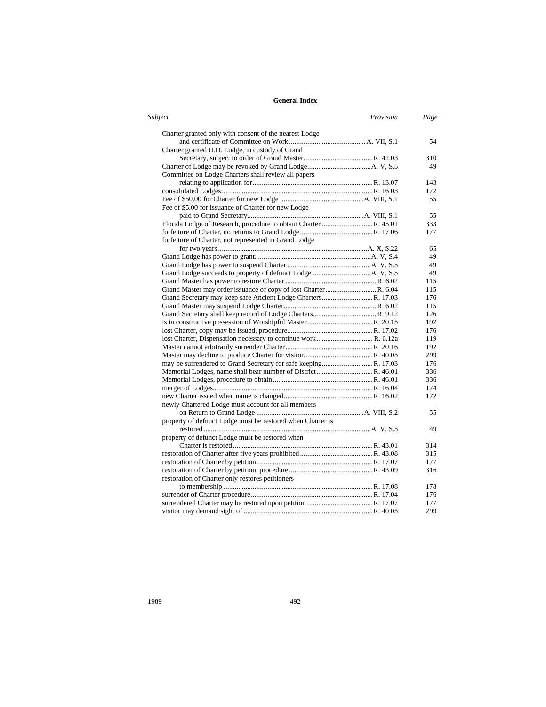| Subject                                                    | Provision | Page |
|------------------------------------------------------------|-----------|------|
| Charter granted only with consent of the nearest Lodge     |           |      |
|                                                            |           | 54   |
| Charter granted U.D. Lodge, in custody of Grand            |           |      |
|                                                            |           | 310  |
|                                                            |           | 49   |
| Committee on Lodge Charters shall review all papers        |           |      |
|                                                            |           | 143  |
|                                                            |           | 172  |
|                                                            |           | 55   |
| Fee of \$5.00 for issuance of Charter for new Lodge        |           |      |
|                                                            |           | 55   |
|                                                            |           | 333  |
|                                                            |           | 177  |
| forfeiture of Charter, not represented in Grand Lodge      |           |      |
|                                                            |           | 65   |
|                                                            |           | 49   |
|                                                            |           | 49   |
|                                                            |           | 49   |
|                                                            |           | 115  |
|                                                            |           | 115  |
|                                                            |           | 176  |
|                                                            |           | 115  |
|                                                            |           | 126  |
|                                                            |           | 192  |
|                                                            |           | 176  |
|                                                            |           | 119  |
|                                                            |           | 192  |
|                                                            |           | 299  |
|                                                            |           | 176  |
|                                                            |           | 336  |
|                                                            |           | 336  |
|                                                            |           | 174  |
|                                                            |           | 172  |
| newly Chartered Lodge must account for all members         |           |      |
|                                                            |           | 55   |
| property of defunct Lodge must be restored when Charter is |           |      |
|                                                            |           | 49   |
| property of defunct Lodge must be restored when            |           |      |
|                                                            |           | 314  |
|                                                            |           | 315  |
|                                                            |           | 177  |
|                                                            |           | 316  |
| restoration of Charter only restores petitioners           |           |      |
|                                                            |           | 178  |
|                                                            |           | 176  |
|                                                            |           | 177  |
|                                                            |           | 299  |
|                                                            |           |      |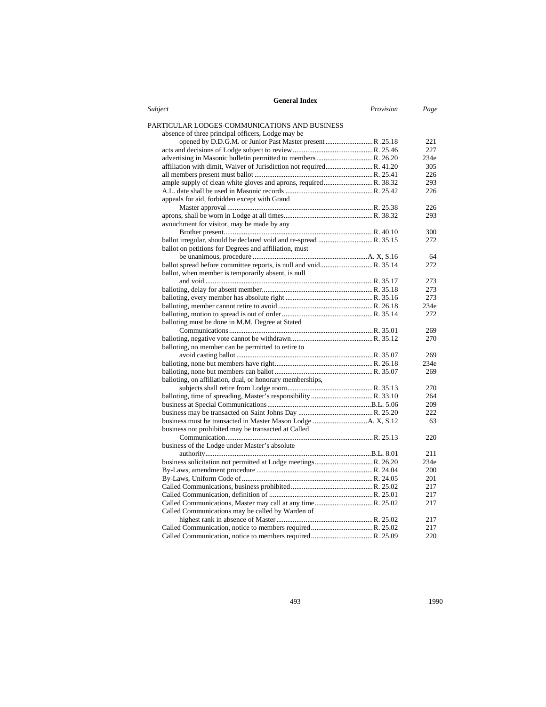| <b>General Index</b>                                                                               |      |
|----------------------------------------------------------------------------------------------------|------|
| Subject<br>Provision                                                                               | Page |
| PARTICULAR LODGES-COMMUNICATIONS AND BUSINESS<br>absence of three principal officers, Lodge may be |      |
| opened by D.D.G.M. or Junior Past Master present R. 25.18                                          | 221  |
|                                                                                                    | 227  |
|                                                                                                    | 234e |
|                                                                                                    | 305  |
|                                                                                                    | 226  |
|                                                                                                    | 293  |
|                                                                                                    | 226  |
| appeals for aid, forbidden except with Grand                                                       |      |
|                                                                                                    | 226  |
|                                                                                                    | 293  |
| avouchment for visitor, may be made by any                                                         |      |
|                                                                                                    | 300  |
|                                                                                                    | 272  |
| ballot on petitions for Degrees and affiliation, must                                              |      |
|                                                                                                    | 64   |
|                                                                                                    | 272  |
| ballot, when member is temporarily absent, is null                                                 |      |
|                                                                                                    | 273  |
|                                                                                                    | 273  |
|                                                                                                    | 273  |
|                                                                                                    | 234e |
|                                                                                                    | 272  |
| balloting must be done in M.M. Degree at Stated                                                    |      |
|                                                                                                    | 269  |
|                                                                                                    | 270  |
| balloting, no member can be permitted to retire to                                                 |      |
|                                                                                                    | 269  |
|                                                                                                    | 234e |
|                                                                                                    | 269  |
| balloting, on affiliation, dual, or honorary memberships,                                          |      |
|                                                                                                    | 270  |
|                                                                                                    | 264  |
|                                                                                                    | 209  |
|                                                                                                    | 222  |
|                                                                                                    | 63   |
| business not prohibited may be transacted at Called                                                |      |
|                                                                                                    | 220  |
| business of the Lodge under Master's absolute                                                      |      |
|                                                                                                    | 211  |
|                                                                                                    | 234e |
|                                                                                                    | 200  |
|                                                                                                    | 201  |
|                                                                                                    | 217  |
|                                                                                                    | 217  |
|                                                                                                    | 217  |
| Called Communications may be called by Warden of                                                   |      |
|                                                                                                    | 217  |
|                                                                                                    | 217  |
|                                                                                                    | 220  |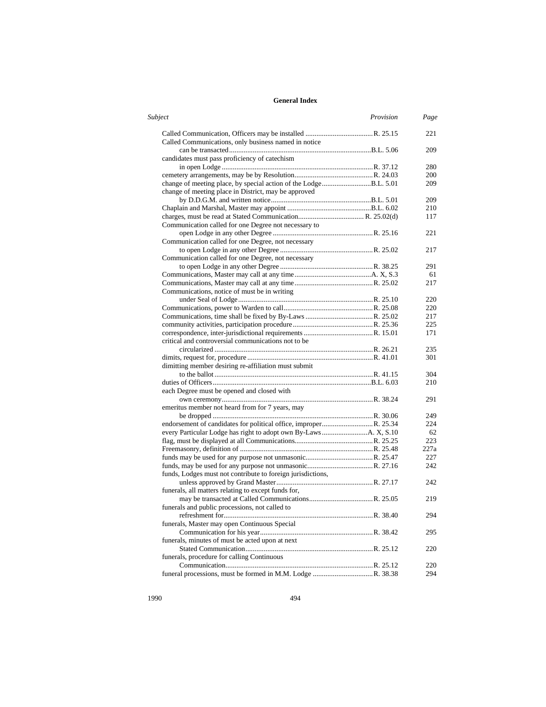| <b>Subject</b>                                              | Provision | Page |
|-------------------------------------------------------------|-----------|------|
|                                                             |           | 221  |
| Called Communications, only business named in notice        |           |      |
|                                                             |           | 209  |
| candidates must pass proficiency of catechism               |           |      |
|                                                             |           | 280  |
|                                                             |           | 200  |
|                                                             |           | 209  |
| change of meeting place in District, may be approved        |           |      |
|                                                             |           | 209  |
|                                                             |           | 210  |
|                                                             |           | 117  |
| Communication called for one Degree not necessary to        |           |      |
|                                                             |           | 221  |
| Communication called for one Degree, not necessary          |           |      |
|                                                             |           | 217  |
| Communication called for one Degree, not necessary          |           |      |
|                                                             |           | 291  |
|                                                             |           | 61   |
|                                                             |           | 217  |
| Communications, notice of must be in writing                |           |      |
|                                                             |           | 220  |
|                                                             |           | 220  |
|                                                             |           | 217  |
|                                                             |           | 225  |
|                                                             |           | 171  |
| critical and controversial communications not to be         |           |      |
|                                                             |           | 235  |
|                                                             |           | 301  |
| dimitting member desiring re-affiliation must submit        |           |      |
|                                                             |           | 304  |
|                                                             |           | 210  |
| each Degree must be opened and closed with                  |           |      |
|                                                             |           | 291  |
| emeritus member not heard from for 7 years, may             |           |      |
|                                                             |           | 249  |
|                                                             |           | 224  |
|                                                             |           | 62   |
|                                                             |           | 223  |
|                                                             |           | 227a |
|                                                             |           | 227  |
|                                                             |           | 242  |
| funds, Lodges must not contribute to foreign jurisdictions, |           |      |
|                                                             |           | 242  |
| funerals, all matters relating to except funds for,         |           |      |
|                                                             |           | 219  |
| funerals and public processions, not called to              |           |      |
|                                                             |           | 294  |
|                                                             |           |      |
| funerals, Master may open Continuous Special                |           |      |
|                                                             |           | 295  |
| funerals, minutes of must be acted upon at next             |           |      |
|                                                             |           | 220  |
| funerals, procedure for calling Continuous                  |           |      |
|                                                             |           | 220  |
|                                                             |           | 294  |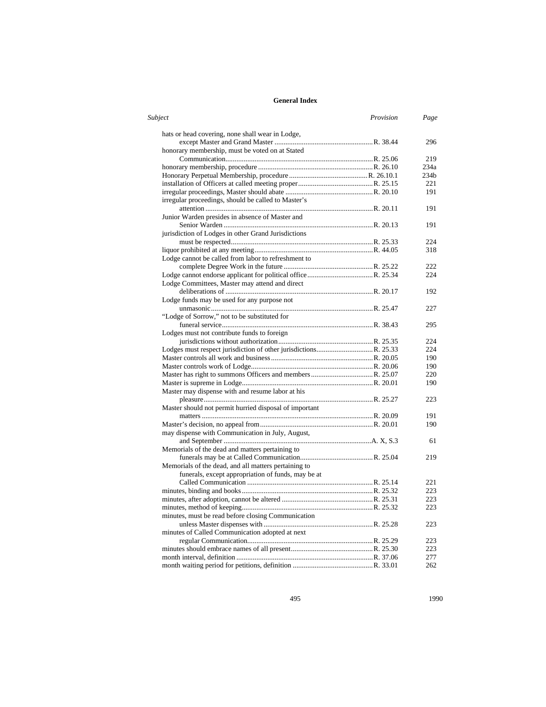| Subject                                                | Provision | Page             |
|--------------------------------------------------------|-----------|------------------|
| hats or head covering, none shall wear in Lodge,       |           |                  |
|                                                        |           | 296              |
| honorary membership, must be voted on at Stated        |           |                  |
|                                                        |           | 219              |
|                                                        |           | 234a             |
|                                                        |           | 234 <sub>b</sub> |
|                                                        |           | 221              |
|                                                        |           | 191              |
| irregular proceedings, should be called to Master's    |           |                  |
|                                                        |           | 191              |
| Junior Warden presides in absence of Master and        |           |                  |
|                                                        |           | 191              |
| jurisdiction of Lodges in other Grand Jurisdictions    |           |                  |
|                                                        |           | 224              |
|                                                        |           | 318              |
| Lodge cannot be called from labor to refreshment to    |           |                  |
|                                                        |           | 222              |
|                                                        |           | 224              |
| Lodge Committees, Master may attend and direct         |           |                  |
|                                                        |           | 192              |
| Lodge funds may be used for any purpose not            |           |                  |
|                                                        |           | 227              |
| "Lodge of Sorrow," not to be substituted for           |           |                  |
|                                                        |           | 295              |
| Lodges must not contribute funds to foreign            |           |                  |
|                                                        |           | 224              |
|                                                        |           | 224              |
|                                                        |           | 190              |
|                                                        |           | 190              |
|                                                        |           | 220              |
|                                                        |           | 190              |
| Master may dispense with and resume labor at his       |           |                  |
|                                                        |           | 223              |
| Master should not permit hurried disposal of important |           |                  |
|                                                        |           | 191              |
|                                                        |           | 190              |
| may dispense with Communication in July, August,       |           |                  |
|                                                        |           | 61               |
| Memorials of the dead and matters pertaining to        |           |                  |
|                                                        |           | 219              |
| Memorials of the dead, and all matters pertaining to   |           |                  |
| funerals, except appropriation of funds, may be at     |           |                  |
|                                                        |           | 221              |
|                                                        |           | 223              |
|                                                        |           | 223              |
|                                                        |           | 223              |
| minutes, must be read before closing Communication     |           |                  |
|                                                        |           | 223              |
| minutes of Called Communication adopted at next        |           |                  |
|                                                        |           | 223              |
|                                                        |           | 223              |
|                                                        |           | 277              |
|                                                        |           | 262              |
|                                                        |           |                  |

495 1990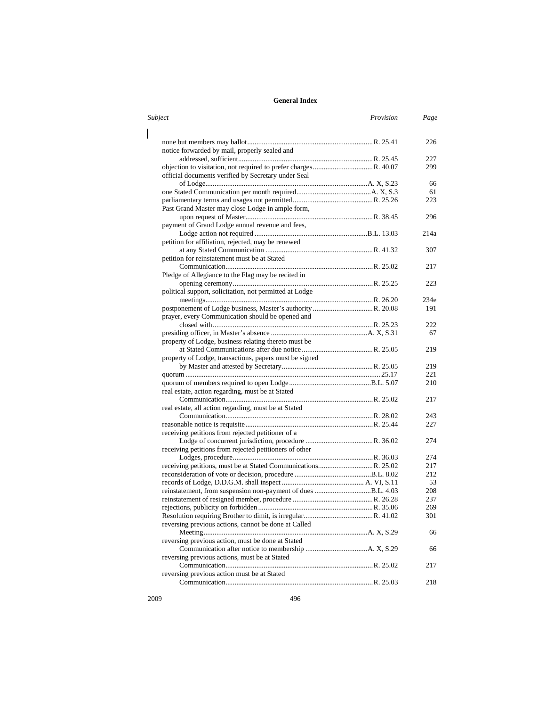| Subject                                                      | Provision | Page |
|--------------------------------------------------------------|-----------|------|
|                                                              |           | 226  |
| notice forwarded by mail, properly sealed and                |           |      |
|                                                              |           | 227  |
|                                                              |           | 299  |
| official documents verified by Secretary under Seal          |           |      |
|                                                              |           | 66   |
|                                                              |           | 61   |
|                                                              |           | 223  |
| Past Grand Master may close Lodge in ample form,             |           |      |
|                                                              |           | 296  |
| payment of Grand Lodge annual revenue and fees,              |           |      |
|                                                              |           | 214a |
| petition for affiliation, rejected, may be renewed           |           |      |
|                                                              |           | 307  |
| petition for reinstatement must be at Stated                 |           |      |
|                                                              |           | 217  |
| Pledge of Allegiance to the Flag may be recited in           |           |      |
|                                                              |           | 223  |
| political support, solicitation, not permitted at Lodge      |           |      |
|                                                              |           | 234e |
|                                                              |           | 191  |
| prayer, every Communication should be opened and             |           |      |
|                                                              |           | 222  |
|                                                              |           | 67   |
| property of Lodge, business relating thereto must be         |           |      |
|                                                              |           | 219  |
| property of Lodge, transactions, papers must be signed       |           |      |
|                                                              |           | 219  |
|                                                              |           | 221  |
|                                                              |           | 210  |
|                                                              |           |      |
| real estate, action regarding, must be at Stated             |           | 217  |
|                                                              |           |      |
| real estate, all action regarding, must be at Stated         |           |      |
|                                                              |           | 243  |
|                                                              |           | 227  |
| receiving petitions from rejected petitioner of a            |           |      |
|                                                              |           | 274  |
| receiving petitions from rejected petitioners of other       |           |      |
|                                                              |           | 274  |
|                                                              |           | 217  |
|                                                              |           | 212  |
|                                                              |           | 53   |
| reinstatement, from suspension non-payment of dues B.L. 4.03 |           | 208  |
|                                                              |           | 237  |
|                                                              |           | 269  |
|                                                              |           | 301  |
| reversing previous actions, cannot be done at Called         |           | 66   |
| reversing previous action, must be done at Stated            |           |      |
|                                                              |           | 66   |
| reversing previous actions, must be at Stated                |           |      |
|                                                              |           | 217  |
| reversing previous action must be at Stated                  |           |      |
|                                                              |           | 218  |
|                                                              |           |      |

 $\mathbf{I}$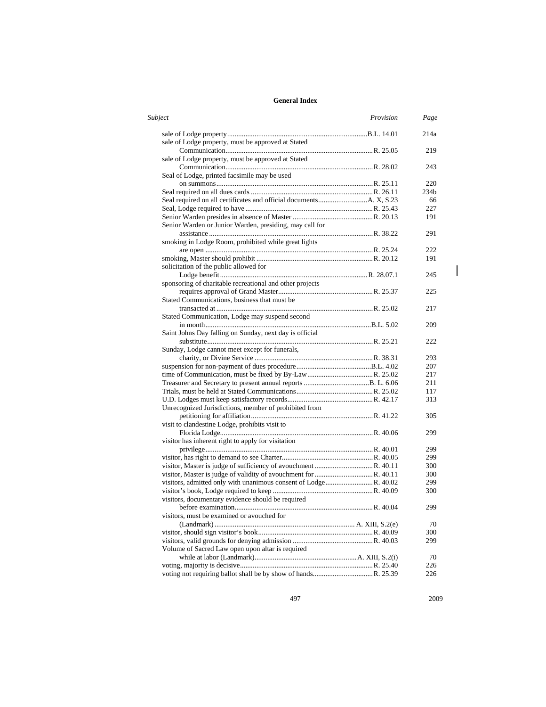| Subject                                                  | Provision | Page             |
|----------------------------------------------------------|-----------|------------------|
|                                                          |           | 214a             |
| sale of Lodge property, must be approved at Stated       |           |                  |
|                                                          |           | 219              |
| sale of Lodge property, must be approved at Stated       |           |                  |
|                                                          |           | 243              |
| Seal of Lodge, printed facsimile may be used             |           |                  |
|                                                          |           | 220              |
|                                                          |           | 234 <sub>b</sub> |
|                                                          |           | 66               |
|                                                          |           | 227              |
|                                                          |           | 191              |
| Senior Warden or Junior Warden, presiding, may call for  |           |                  |
|                                                          |           | 291              |
| smoking in Lodge Room, prohibited while great lights     |           |                  |
|                                                          |           | 222              |
|                                                          |           | 191              |
| solicitation of the public allowed for                   |           |                  |
|                                                          |           | 245              |
| sponsoring of charitable recreational and other projects |           |                  |
|                                                          |           | 225              |
| Stated Communications, business that must be             |           |                  |
|                                                          |           | 217              |
| Stated Communication, Lodge may suspend second           |           |                  |
|                                                          |           | 209              |
| Saint Johns Day falling on Sunday, next day is official  |           |                  |
|                                                          |           | 222              |
| Sunday, Lodge cannot meet except for funerals,           |           |                  |
|                                                          |           | 293              |
|                                                          |           | 207              |
|                                                          |           | 217              |
|                                                          |           | 211              |
|                                                          |           | 117              |
|                                                          |           | 313              |
| Unrecognized Jurisdictions, member of prohibited from    |           |                  |
|                                                          |           | 305              |
| visit to clandestine Lodge, prohibits visit to           |           |                  |
|                                                          |           | 299              |
| visitor has inherent right to apply for visitation       |           |                  |
|                                                          |           | 299              |
|                                                          |           | 299              |
|                                                          |           | 300              |
|                                                          |           | 300              |
|                                                          |           | 299              |
|                                                          |           | 300              |
| visitors, documentary evidence should be required        |           |                  |
|                                                          |           | 299              |
| visitors, must be examined or avouched for               |           |                  |
|                                                          |           | 70               |
|                                                          |           | 300              |
|                                                          |           | 299              |
| Volume of Sacred Law open upon altar is required         |           |                  |
|                                                          |           | 70               |
|                                                          |           | 226              |
|                                                          |           | 226              |
|                                                          |           |                  |

497 2009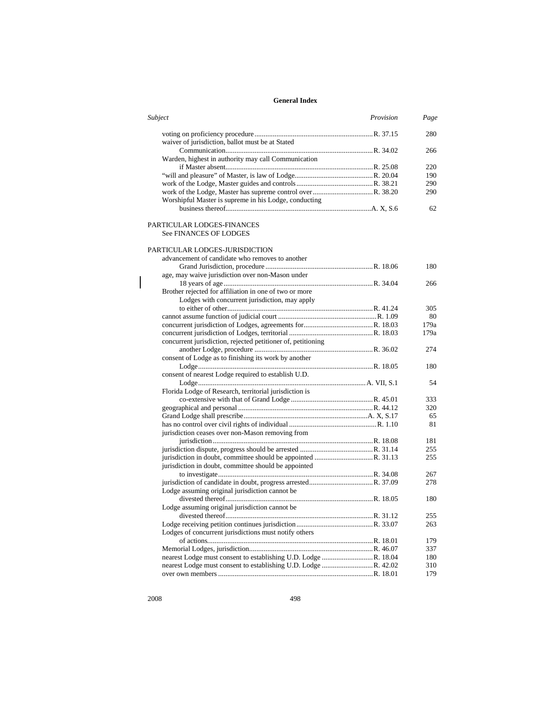| Subject                                               | Provision | Page |
|-------------------------------------------------------|-----------|------|
|                                                       |           | 280  |
| waiver of jurisdiction, ballot must be at Stated      |           |      |
|                                                       |           | 266. |
| Warden, highest in authority may call Communication   |           |      |
|                                                       |           | 220  |
|                                                       |           | 190  |
|                                                       |           | 290  |
|                                                       |           | 290  |
| Worshipful Master is supreme in his Lodge, conducting |           |      |
|                                                       |           | 62.  |

#### PARTICULAR LODGES-FINANCES See FINANCES OF LODGES

### PARTICULAR LODGES-JURISDICTION

| advancement of candidate who removes to another              |      |
|--------------------------------------------------------------|------|
|                                                              | 180  |
| age, may waive jurisdiction over non-Mason under             |      |
|                                                              | 266  |
| Brother rejected for affiliation in one of two or more       |      |
| Lodges with concurrent jurisdiction, may apply               |      |
|                                                              | 305  |
|                                                              | 80   |
|                                                              | 179a |
|                                                              | 179a |
| concurrent jurisdiction, rejected petitioner of, petitioning |      |
|                                                              | 274  |
| consent of Lodge as to finishing its work by another         |      |
|                                                              | 180  |
| consent of nearest Lodge required to establish U.D.          |      |
|                                                              | 54   |
| Florida Lodge of Research, territorial jurisdiction is       |      |
|                                                              | 333  |
|                                                              | 320  |
|                                                              | 65   |
|                                                              | 81   |
| jurisdiction ceases over non-Mason removing from             |      |
|                                                              | 181  |
|                                                              | 255  |
|                                                              | 255  |
| jurisdiction in doubt, committee should be appointed         |      |
|                                                              | 267  |
|                                                              | 278  |
| Lodge assuming original jurisdiction cannot be               |      |
|                                                              | 180  |
| Lodge assuming original jurisdiction cannot be               |      |
|                                                              | 255  |
|                                                              | 263  |
| Lodges of concurrent jurisdictions must notify others        |      |
|                                                              | 179  |
|                                                              | 337  |
|                                                              | 180  |
|                                                              | 310  |
|                                                              | 179  |
|                                                              |      |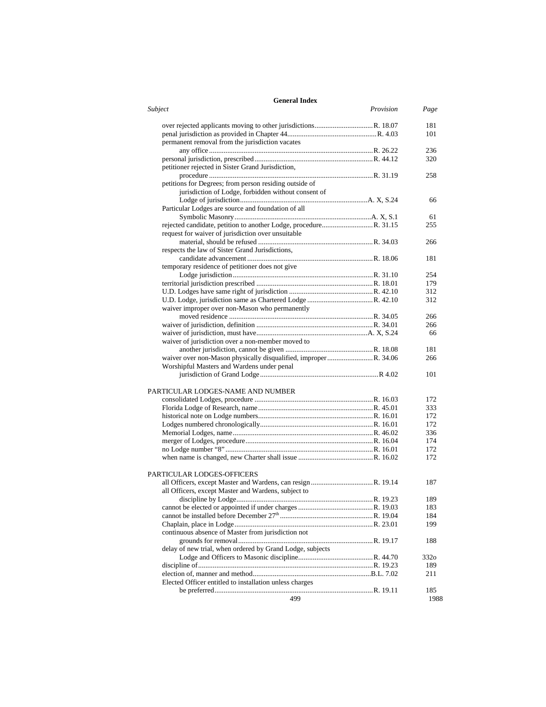| Subject                                                   | Provision | Page             |
|-----------------------------------------------------------|-----------|------------------|
|                                                           |           | 181              |
|                                                           |           | 101              |
| permanent removal from the jurisdiction vacates           |           |                  |
|                                                           |           | 236              |
|                                                           |           | 320              |
| petitioner rejected in Sister Grand Jurisdiction,         |           |                  |
|                                                           |           | 258              |
| petitions for Degrees; from person residing outside of    |           |                  |
| jurisdiction of Lodge, forbidden without consent of       |           |                  |
|                                                           |           | 66               |
| Particular Lodges are source and foundation of all        |           |                  |
|                                                           |           | 61               |
|                                                           |           | 255              |
| request for waiver of jurisdiction over unsuitable        |           |                  |
|                                                           |           | 266              |
| respects the law of Sister Grand Jurisdictions,           |           |                  |
|                                                           |           | 181              |
| temporary residence of petitioner does not give           |           |                  |
|                                                           |           | 254              |
|                                                           |           | 179              |
|                                                           |           | 312              |
|                                                           |           | 312              |
| waiver improper over non-Mason who permanently            |           |                  |
|                                                           |           | 266              |
|                                                           |           | 266              |
|                                                           |           | 66               |
| waiver of jurisdiction over a non-member moved to         |           |                  |
|                                                           |           | 181              |
|                                                           |           | 266              |
| Worshipful Masters and Wardens under penal                |           |                  |
|                                                           |           | 101              |
| PARTICULAR LODGES-NAME AND NUMBER                         |           |                  |
|                                                           |           | 172              |
|                                                           |           | 333              |
|                                                           |           | 172              |
|                                                           |           | 172              |
|                                                           |           | 336              |
|                                                           |           | 174              |
|                                                           |           | 172              |
|                                                           |           | 172              |
|                                                           |           |                  |
| <b>PARTICULAR LODGES-OFFICERS</b>                         |           |                  |
|                                                           |           | 187              |
| all Officers, except Master and Wardens, subject to       |           |                  |
|                                                           |           | 189              |
|                                                           |           | 183              |
|                                                           |           | 184              |
|                                                           |           | 199              |
| continuous absence of Master from jurisdiction not        |           |                  |
|                                                           |           | 188              |
| delay of new trial, when ordered by Grand Lodge, subjects |           |                  |
|                                                           |           | 332 <sub>o</sub> |
|                                                           |           | 189              |
|                                                           |           | 211              |
| Elected Officer entitled to installation unless charges   |           |                  |
|                                                           |           | 185              |
| 499                                                       |           | 1988             |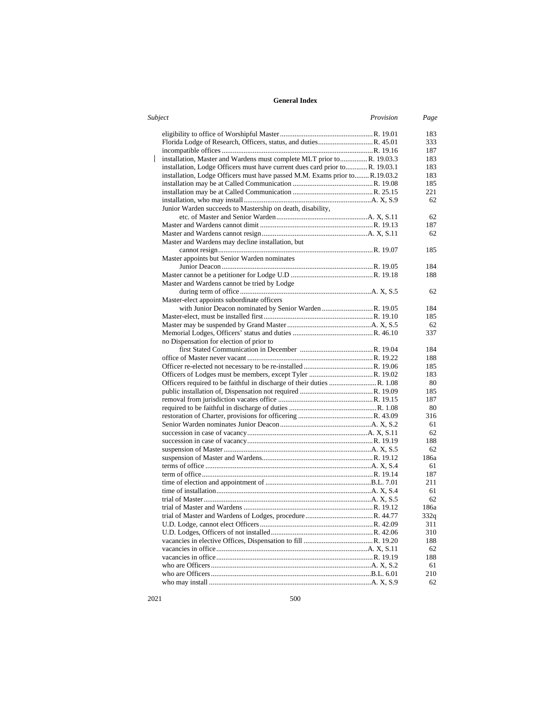| Subject | Provision                                                                    | Page |
|---------|------------------------------------------------------------------------------|------|
|         |                                                                              | 183  |
|         |                                                                              | 333  |
|         |                                                                              | 187  |
|         | installation, Master and Wardens must complete MLT prior to R. 19.03.3       | 183  |
|         | installation, Lodge Officers must have current dues card prior to R. 19.03.1 | 183  |
|         | installation, Lodge Officers must have passed M.M. Exams prior toR.19.03.2   | 183  |
|         |                                                                              | 185  |
|         |                                                                              | 221  |
|         |                                                                              | 62   |
|         | Junior Warden succeeds to Mastership on death, disability,                   |      |
|         |                                                                              | 62   |
|         |                                                                              | 187  |
|         |                                                                              | 62   |
|         | Master and Wardens may decline installation, but                             |      |
|         |                                                                              | 185  |
|         | Master appoints but Senior Warden nominates                                  |      |
|         |                                                                              | 184  |
|         |                                                                              | 188  |
|         | Master and Wardens cannot be tried by Lodge                                  |      |
|         |                                                                              | 62   |
|         | Master-elect appoints subordinate officers                                   |      |
|         |                                                                              | 184  |
|         |                                                                              | 185  |
|         |                                                                              | 62   |
|         |                                                                              | 337  |
|         | no Dispensation for election of prior to                                     |      |
|         |                                                                              | 184  |
|         |                                                                              | 188  |
|         |                                                                              | 185  |
|         |                                                                              | 183  |
|         |                                                                              | 80   |
|         |                                                                              | 185  |
|         |                                                                              | 187  |
|         |                                                                              | 80   |
|         |                                                                              | 316  |
|         |                                                                              | 61   |
|         |                                                                              | 62   |
|         |                                                                              | 188  |
|         |                                                                              | 62   |
|         |                                                                              | 186a |
|         |                                                                              | 61   |
|         |                                                                              | 187  |
|         |                                                                              | 211  |
|         |                                                                              | 61   |
|         |                                                                              | 62   |
|         |                                                                              | 186a |
|         |                                                                              | 332q |
|         |                                                                              | 311  |
|         |                                                                              | 310  |
|         |                                                                              | 188  |
|         |                                                                              | 62   |
|         |                                                                              | 188  |
|         |                                                                              | 61   |
|         |                                                                              | 210  |
|         |                                                                              | 62   |

2021 500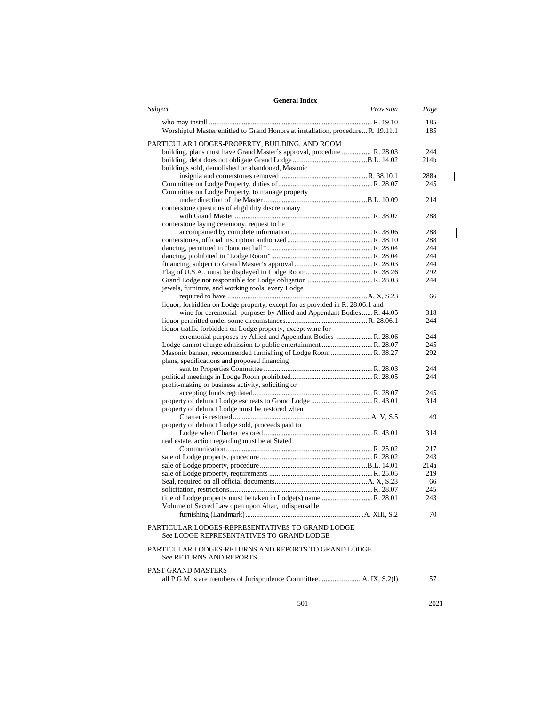| <b>General Index</b>                                                                         |           |                  |
|----------------------------------------------------------------------------------------------|-----------|------------------|
| Subject                                                                                      | Provision | Page             |
| Worshipful Master entitled to Grand Honors at installation, procedure R. 19.11.1             |           | 185<br>185       |
|                                                                                              |           |                  |
| PARTICULAR LODGES-PROPERTY, BUILDING, AND ROOM                                               |           |                  |
| building, plans must have Grand Master's approval, procedure  R. 28.03                       |           | 244              |
|                                                                                              |           | 214 <sub>b</sub> |
| buildings sold, demolished or abandoned, Masonic                                             |           |                  |
|                                                                                              |           | 288a             |
| Committee on Lodge Property, to manage property                                              |           | 245              |
|                                                                                              |           | 214              |
| cornerstone questions of eligibility discretionary                                           |           |                  |
|                                                                                              |           | 288              |
| cornerstone laying ceremony, request to be                                                   |           |                  |
|                                                                                              |           | 288              |
|                                                                                              |           | 288              |
|                                                                                              |           | 244              |
|                                                                                              |           | 244              |
|                                                                                              |           | 244              |
|                                                                                              |           | 292              |
|                                                                                              |           | 244              |
| jewels, furniture, and working tools, every Lodge                                            |           |                  |
|                                                                                              |           | 66               |
| liquor, forbidden on Lodge property, except for as provided in R. 28.06.1 and                |           |                  |
| wine for ceremonial purposes by Allied and Appendant Bodies  R. 44.05                        |           | 318              |
|                                                                                              |           | 244              |
| liquor traffic forbidden on Lodge property, except wine for                                  |           |                  |
| ceremonial purposes by Allied and Appendant Bodies R. 28.06                                  |           | 244              |
|                                                                                              |           | 245              |
| Masonic banner, recommended furnishing of Lodge Room  R. 38.27                               |           | 292              |
| plans, specifications and proposed financing                                                 |           | 244              |
|                                                                                              |           | 244              |
| profit-making or business activity, soliciting or                                            |           |                  |
|                                                                                              |           | 245              |
|                                                                                              |           | 314              |
| property of defunct Lodge must be restored when                                              |           |                  |
|                                                                                              |           | 49               |
| property of defunct Lodge sold, proceeds paid to                                             |           |                  |
|                                                                                              |           | 314              |
| real estate, action regarding must be at Stated                                              |           |                  |
|                                                                                              |           | 217              |
|                                                                                              |           | 243              |
|                                                                                              |           | 214a             |
|                                                                                              |           | 219              |
|                                                                                              |           | 66               |
|                                                                                              |           | 245              |
|                                                                                              |           | 243              |
| Volume of Sacred Law open upon Altar, indispensable                                          |           |                  |
|                                                                                              |           | 70               |
| PARTICULAR LODGES-REPRESENTATIVES TO GRAND LODGE<br>See LODGE REPRESENTATIVES TO GRAND LODGE |           |                  |
| PARTICULAR LODGES-RETURNS AND REPORTS TO GRAND LODGE<br><b>See RETURNS AND REPORTS</b>       |           |                  |
| PAST GRAND MASTERS                                                                           |           |                  |
|                                                                                              |           | 57               |
|                                                                                              |           |                  |

501 2021

 $\overline{\phantom{a}}$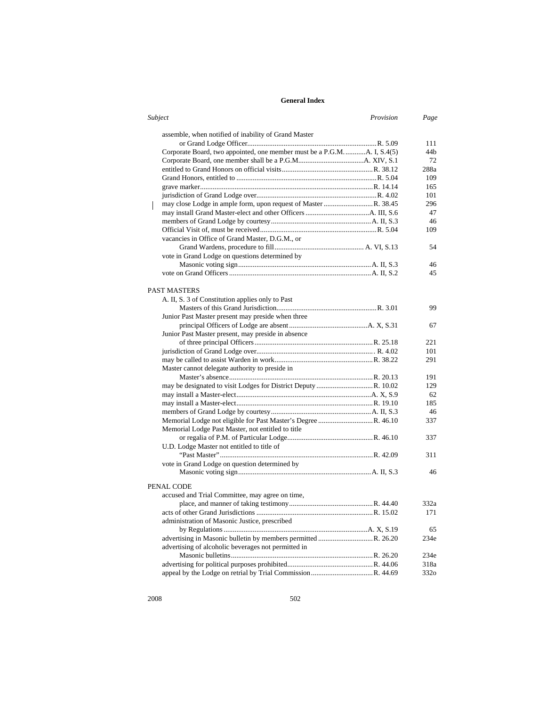| Subject                                                                | Provision | Page |
|------------------------------------------------------------------------|-----------|------|
| assemble, when notified of inability of Grand Master                   |           |      |
|                                                                        |           | 111  |
| Corporate Board, two appointed, one member must be a P.G.MA. I, S.4(5) |           | 44b  |
|                                                                        |           | 72   |
|                                                                        |           | 288a |
|                                                                        |           | 109  |
|                                                                        |           | 165  |
|                                                                        |           | 101  |
|                                                                        |           | 296  |
|                                                                        |           | 47   |
|                                                                        |           | 46   |
|                                                                        |           | 109  |
| vacancies in Office of Grand Master, D.G.M., or                        |           |      |
|                                                                        |           | 54   |
| vote in Grand Lodge on questions determined by                         |           |      |
|                                                                        |           | 46   |
|                                                                        |           | 45   |
|                                                                        |           |      |
| <b>PAST MASTERS</b>                                                    |           |      |
| A. II, S. 3 of Constitution applies only to Past                       |           |      |
|                                                                        |           | 99   |
| Junior Past Master present may preside when three                      |           |      |
|                                                                        |           | 67   |
| Junior Past Master present, may preside in absence                     |           |      |
|                                                                        |           | 221  |
|                                                                        |           | 101  |
|                                                                        |           | 291  |
| Master cannot delegate authority to preside in                         |           |      |
|                                                                        |           | 191  |
|                                                                        |           | 129  |
|                                                                        |           | 62   |
|                                                                        |           | 185  |
|                                                                        |           | 46   |
|                                                                        |           | 337  |
| Memorial Lodge Past Master, not entitled to title                      |           |      |
|                                                                        |           | 337  |
| U.D. Lodge Master not entitled to title of                             |           |      |
|                                                                        |           | 311  |
| vote in Grand Lodge on question determined by                          |           |      |
|                                                                        |           | 46   |
| PENAL CODE                                                             |           |      |
| accused and Trial Committee, may agree on time,                        |           |      |
|                                                                        |           | 332a |
|                                                                        |           | 171  |
| administration of Masonic Justice, prescribed                          |           |      |
|                                                                        |           | 65   |
| advertising in Masonic bulletin by members permitted R. 26.20          |           | 234e |
| advertising of alcoholic beverages not permitted in                    |           |      |
|                                                                        |           | 234e |
|                                                                        |           | 318a |
|                                                                        |           | 332o |
|                                                                        |           |      |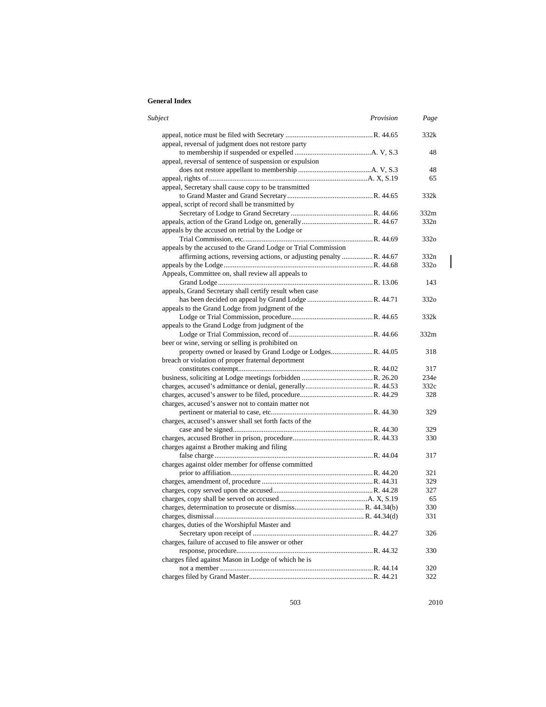| Subject<br>Provision                                                | Page             |
|---------------------------------------------------------------------|------------------|
|                                                                     | 332k             |
| appeal, reversal of judgment does not restore party                 |                  |
|                                                                     | 48               |
| appeal, reversal of sentence of suspension or expulsion             |                  |
|                                                                     | 48               |
|                                                                     | 65               |
| appeal, Secretary shall cause copy to be transmitted                |                  |
|                                                                     | 332k             |
| appeal, script of record shall be transmitted by                    |                  |
|                                                                     | 332m             |
|                                                                     | 332n             |
| appeals by the accused on retrial by the Lodge or                   |                  |
|                                                                     | 332 <sub>o</sub> |
| appeals by the accused to the Grand Lodge or Trial Commission       |                  |
| affirming actions, reversing actions, or adjusting penalty R. 44.67 | 332n             |
|                                                                     | 332 <sub>o</sub> |
| Appeals, Committee on, shall review all appeals to                  |                  |
|                                                                     | 143              |
| appeals, Grand Secretary shall certify result when case             |                  |
|                                                                     | 332o             |
| appeals to the Grand Lodge from judgment of the                     |                  |
|                                                                     | 332k             |
| appeals to the Grand Lodge from judgment of the                     |                  |
|                                                                     | 332m             |
| beer or wine, serving or selling is prohibited on                   |                  |
|                                                                     | 318              |
| breach or violation of proper fraternal deportment                  |                  |
|                                                                     | 317              |
|                                                                     | 234e             |
|                                                                     | 332c             |
|                                                                     | 328              |
| charges, accused's answer not to contain matter not                 |                  |
|                                                                     | 329              |
| charges, accused's answer shall set forth facts of the              |                  |
|                                                                     | 329              |
|                                                                     | 330              |
| charges against a Brother making and filing                         |                  |
|                                                                     | 317              |
| charges against older member for offense committed                  |                  |
|                                                                     | 321              |
|                                                                     | 329              |
|                                                                     | 327              |
|                                                                     | 65               |
|                                                                     | 330              |
|                                                                     | 331              |
| charges, duties of the Worshipful Master and                        |                  |
|                                                                     | 326              |
| charges, failure of accused to file answer or other                 |                  |
|                                                                     | 330              |
| charges filed against Mason in Lodge of which he is                 |                  |
|                                                                     | 320              |
|                                                                     | 322              |

503 2010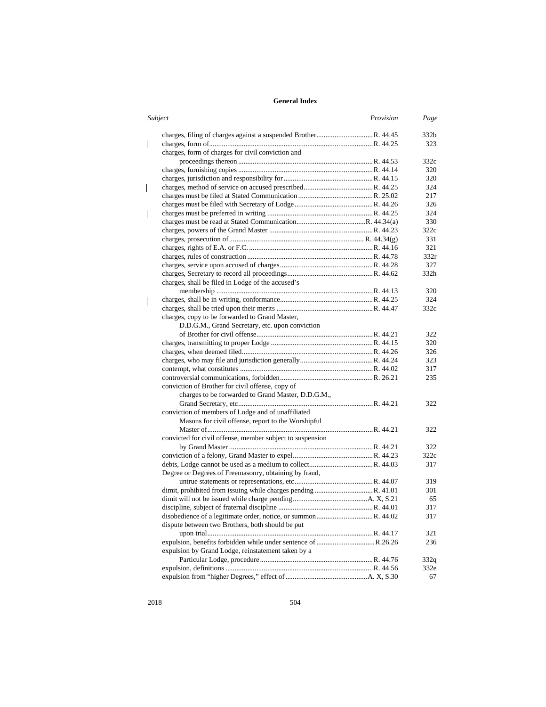| Subject                                                   | Provision | Page |
|-----------------------------------------------------------|-----------|------|
|                                                           |           | 332b |
|                                                           |           | 323  |
| charges, form of charges for civil conviction and         |           |      |
|                                                           |           | 332c |
|                                                           |           | 320  |
|                                                           |           | 320  |
|                                                           |           | 324  |
|                                                           |           | 217  |
|                                                           |           | 326  |
|                                                           |           | 324  |
|                                                           |           | 330  |
|                                                           |           | 322c |
|                                                           |           | 331  |
|                                                           |           | 321  |
|                                                           |           | 332r |
|                                                           |           | 327  |
|                                                           |           | 332h |
| charges, shall be filed in Lodge of the accused's         |           |      |
|                                                           |           | 320  |
|                                                           |           | 324  |
|                                                           |           | 332c |
| charges, copy to be forwarded to Grand Master,            |           |      |
| D.D.G.M., Grand Secretary, etc. upon conviction           |           |      |
|                                                           |           | 322  |
|                                                           |           | 320  |
|                                                           |           | 326  |
|                                                           |           | 323  |
|                                                           |           | 317  |
|                                                           |           | 235  |
| conviction of Brother for civil offense, copy of          |           |      |
| charges to be forwarded to Grand Master, D.D.G.M.,        |           |      |
|                                                           |           | 322  |
| conviction of members of Lodge and of unaffiliated        |           |      |
| Masons for civil offense, report to the Worshipful        |           |      |
|                                                           |           | 322  |
| convicted for civil offense, member subject to suspension |           |      |
|                                                           |           | 322  |
|                                                           |           | 322c |
|                                                           |           | 317  |
| Degree or Degrees of Freemasonry, obtaining by fraud,     |           |      |
|                                                           |           | 319  |
|                                                           |           | 301  |
|                                                           |           | 65   |
|                                                           |           | 317  |
|                                                           |           | 317  |
| dispute between two Brothers, both should be put          |           |      |
|                                                           |           | 321  |
|                                                           |           | 236  |
| expulsion by Grand Lodge, reinstatement taken by a        |           |      |
|                                                           |           | 332q |
|                                                           |           | 332e |
|                                                           |           | 67   |
|                                                           |           |      |

 $\begin{array}{c} \hline \end{array}$ 

 $\overline{\phantom{a}}$ 

 $\begin{array}{c} \hline \end{array}$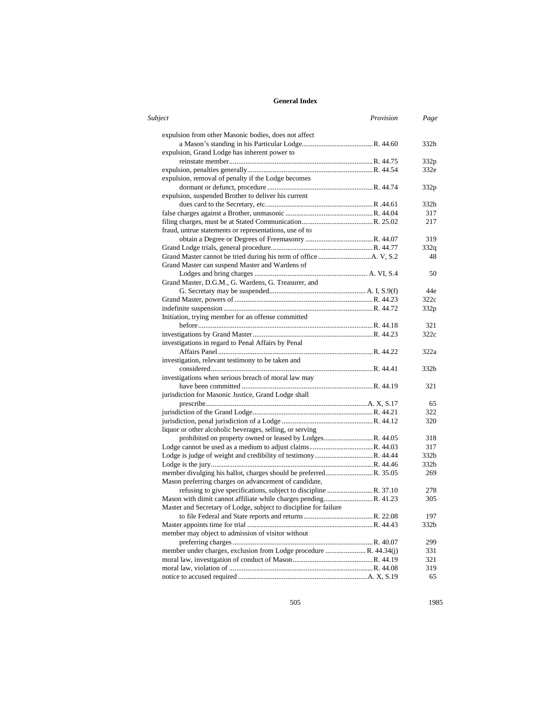| Subject                                                          | Provision | Page             |
|------------------------------------------------------------------|-----------|------------------|
| expulsion from other Masonic bodies, does not affect             |           |                  |
|                                                                  |           | 332h             |
| expulsion, Grand Lodge has inherent power to                     |           |                  |
|                                                                  |           | 332p             |
|                                                                  |           | 332e             |
| expulsion, removal of penalty if the Lodge becomes               |           |                  |
|                                                                  |           | 332p             |
| expulsion, suspended Brother to deliver his current              |           |                  |
|                                                                  |           | 332h             |
|                                                                  |           | 317              |
|                                                                  |           | 217              |
| fraud, untrue statements or representations, use of to           |           |                  |
|                                                                  |           | 319              |
|                                                                  |           | 332q             |
|                                                                  |           | 48               |
| Grand Master can suspend Master and Wardens of                   |           |                  |
|                                                                  |           | 50               |
| Grand Master, D.G.M., G. Wardens, G. Treasurer, and              |           |                  |
|                                                                  |           | 44e              |
|                                                                  |           | 322c             |
|                                                                  |           | 332 <sub>p</sub> |
| Initiation, trying member for an offense committed               |           |                  |
|                                                                  |           | 321              |
|                                                                  |           | 322c             |
|                                                                  |           |                  |
| investigations in regard to Penal Affairs by Penal               |           |                  |
|                                                                  |           | 322a             |
| investigation, relevant testimony to be taken and                |           |                  |
|                                                                  |           | 332b             |
| investigations when serious breach of moral law may              |           |                  |
|                                                                  |           | 321              |
| jurisdiction for Masonic Justice, Grand Lodge shall              |           |                  |
|                                                                  |           | 65               |
|                                                                  |           | 322              |
|                                                                  |           | 320              |
| liquor or other alcoholic beverages, selling, or serving         |           |                  |
|                                                                  |           | 318              |
|                                                                  |           | 317              |
|                                                                  |           | 332b             |
|                                                                  |           | 332 <sub>b</sub> |
|                                                                  |           | 269              |
| Mason preferring charges on advancement of candidate,            |           |                  |
| refusing to give specifications, subject to discipline R. 37.10  |           | 278              |
| Mason with dimit cannot affiliate while charges pendingR. 41.23  |           | 305              |
| Master and Secretary of Lodge, subject to discipline for failure |           |                  |
|                                                                  |           | 197              |
|                                                                  |           | 332b             |
| member may object to admission of visitor without                |           |                  |
|                                                                  |           | 299              |
|                                                                  |           | 331              |
|                                                                  |           | 321              |
|                                                                  |           | 319              |
|                                                                  |           | 65               |

505 1985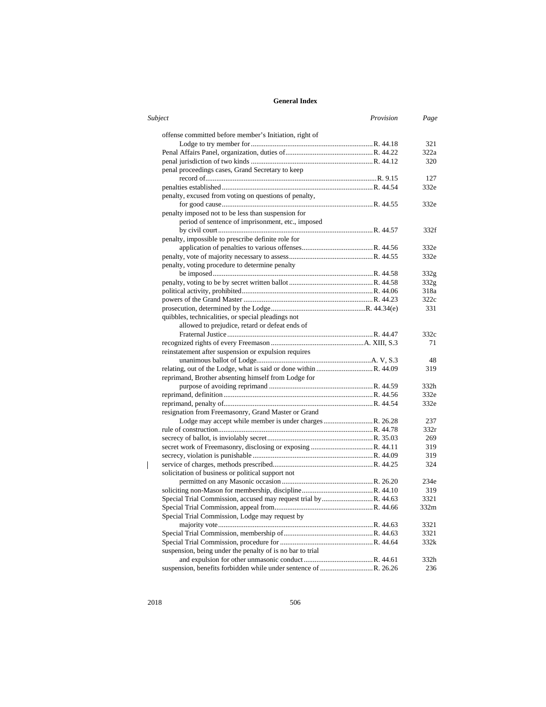| Subject                                                   | Provision | Page             |
|-----------------------------------------------------------|-----------|------------------|
| offense committed before member's Initiation, right of    |           |                  |
|                                                           |           | 321              |
|                                                           |           | 322a             |
|                                                           |           | 320              |
| penal proceedings cases, Grand Secretary to keep          |           |                  |
|                                                           |           | 127              |
|                                                           |           | 332e             |
| penalty, excused from voting on questions of penalty,     |           |                  |
|                                                           |           | 332e             |
| penalty imposed not to be less than suspension for        |           |                  |
| period of sentence of imprisonment, etc., imposed         |           |                  |
|                                                           |           | 332f             |
| penalty, impossible to prescribe definite role for        |           |                  |
|                                                           |           | 332e             |
|                                                           |           | 332e             |
| penalty, voting procedure to determine penalty            |           |                  |
|                                                           |           | 332 <sub>g</sub> |
|                                                           |           | 332g             |
|                                                           |           | 318a             |
|                                                           |           |                  |
|                                                           |           | 322c             |
|                                                           |           | 331              |
| quibbles, technicalities, or special pleadings not        |           |                  |
| allowed to prejudice, retard or defeat ends of            |           |                  |
|                                                           |           | 332c             |
|                                                           |           | 71               |
| reinstatement after suspension or expulsion requires      |           |                  |
|                                                           |           | 48               |
|                                                           |           | 319              |
| reprimand, Brother absenting himself from Lodge for       |           |                  |
|                                                           |           | 332h             |
|                                                           |           | 332e             |
|                                                           |           | 332e             |
| resignation from Freemasonry, Grand Master or Grand       |           |                  |
|                                                           |           | 237              |
|                                                           |           | 332r             |
|                                                           |           | 269              |
|                                                           |           | 319              |
|                                                           |           | 319              |
|                                                           |           | 324              |
| solicitation of business or political support not         |           |                  |
|                                                           |           | 234e             |
|                                                           |           | 319              |
|                                                           |           |                  |
|                                                           |           | 3321             |
|                                                           |           | 332m             |
| Special Trial Commission, Lodge may request by            |           |                  |
|                                                           |           | 3321             |
|                                                           |           | 3321             |
|                                                           |           | 332k             |
| suspension, being under the penalty of is no bar to trial |           |                  |
|                                                           |           | 332h             |
|                                                           |           | 236              |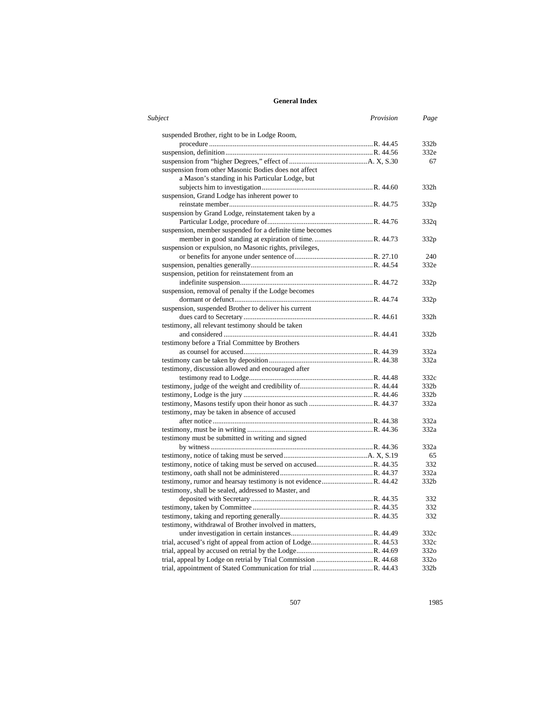| Subject                                                  | Provision | Page             |
|----------------------------------------------------------|-----------|------------------|
| suspended Brother, right to be in Lodge Room,            |           |                  |
|                                                          |           | 332 <sub>b</sub> |
|                                                          |           | 332e             |
|                                                          |           | 67               |
| suspension from other Masonic Bodies does not affect     |           |                  |
| a Mason's standing in his Particular Lodge, but          |           |                  |
|                                                          |           | 332h             |
| suspension, Grand Lodge has inherent power to            |           |                  |
|                                                          |           | 332p             |
| suspension by Grand Lodge, reinstatement taken by a      |           |                  |
|                                                          |           | 332q             |
| suspension, member suspended for a definite time becomes |           |                  |
|                                                          |           | 332p             |
| suspension or expulsion, no Masonic rights, privileges,  |           |                  |
|                                                          |           | 240              |
|                                                          |           | 332e             |
| suspension, petition for reinstatement from an           |           |                  |
|                                                          |           | 332p             |
| suspension, removal of penalty if the Lodge becomes      |           |                  |
|                                                          |           | 332p             |
| suspension, suspended Brother to deliver his current     |           |                  |
|                                                          |           | 332h             |
| testimony, all relevant testimony should be taken        |           |                  |
|                                                          |           | 332 <sub>b</sub> |
| testimony before a Trial Committee by Brothers           |           |                  |
|                                                          |           | 332a             |
|                                                          |           | 332a             |
|                                                          |           |                  |
| testimony, discussion allowed and encouraged after       |           | 332c             |
|                                                          |           | 332 <sub>b</sub> |
|                                                          |           |                  |
|                                                          |           | 332b             |
|                                                          |           | 332a             |
| testimony, may be taken in absence of accused            |           |                  |
|                                                          |           | 332a             |
|                                                          |           | 332a             |
| testimony must be submitted in writing and signed        |           |                  |
|                                                          |           | 332a             |
|                                                          |           | 65               |
|                                                          |           | 332              |
|                                                          |           | 332a             |
|                                                          |           | 332b             |
| testimony, shall be sealed, addressed to Master, and     |           |                  |
|                                                          |           | 332              |
|                                                          |           | 332              |
|                                                          |           | 332              |
| testimony, withdrawal of Brother involved in matters,    |           |                  |
|                                                          |           | 332c             |
|                                                          |           | 332c             |
|                                                          |           | 332o             |
|                                                          |           | 332 <sub>o</sub> |
|                                                          |           | 332b             |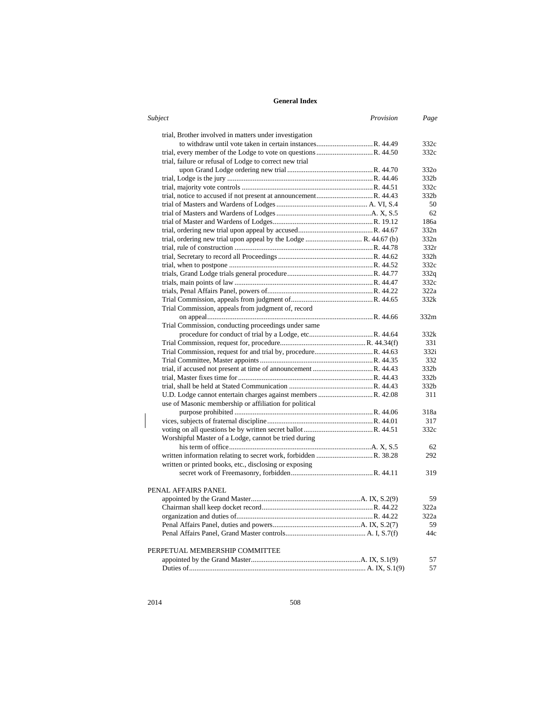| Subject |                                                                  | Provision<br>Page |
|---------|------------------------------------------------------------------|-------------------|
|         | trial, Brother involved in matters under investigation           |                   |
|         |                                                                  | 332c              |
|         |                                                                  | 332c              |
|         | trial, failure or refusal of Lodge to correct new trial          |                   |
|         |                                                                  | 332 <sub>0</sub>  |
|         |                                                                  | 332b              |
|         |                                                                  | 332c              |
|         |                                                                  | 332 <sub>b</sub>  |
|         |                                                                  | 50                |
|         |                                                                  | 62                |
|         |                                                                  | 186a              |
|         |                                                                  | 332n              |
|         | trial, ordering new trial upon appeal by the Lodge  R. 44.67 (b) | 332n              |
|         |                                                                  | 332r              |
|         |                                                                  | 332h              |
|         |                                                                  | 332c              |
|         |                                                                  | 332q              |
|         |                                                                  | 332c              |
|         |                                                                  | 322a              |
|         |                                                                  | 332k              |
|         | Trial Commission, appeals from judgment of, record               |                   |
|         |                                                                  | 332m              |
|         | Trial Commission, conducting proceedings under same              |                   |
|         |                                                                  | 332k              |
|         |                                                                  | 331               |
|         |                                                                  | 332i              |
|         |                                                                  | 332               |
|         |                                                                  | 332b              |
|         |                                                                  | 332b              |
|         |                                                                  | 332b              |
|         |                                                                  | 311               |
|         |                                                                  |                   |
|         | use of Masonic membership or affiliation for political           | 318a              |
|         |                                                                  |                   |
|         |                                                                  | 317<br>332c       |
|         |                                                                  |                   |
|         | Worshipful Master of a Lodge, cannot be tried during             |                   |
|         |                                                                  | 62                |
|         |                                                                  | 292               |
|         | written or printed books, etc., disclosing or exposing           |                   |
|         |                                                                  | 319               |
|         |                                                                  |                   |
|         | PENAL AFFAIRS PANEL                                              |                   |
|         |                                                                  | 59                |
|         |                                                                  | 322a              |
|         |                                                                  | 322a              |
|         |                                                                  | 59                |
|         |                                                                  | 44c               |
|         |                                                                  |                   |
|         | PERPETUAL MEMBERSHIP COMMITTEE                                   |                   |
|         |                                                                  | 57                |
|         |                                                                  | 57                |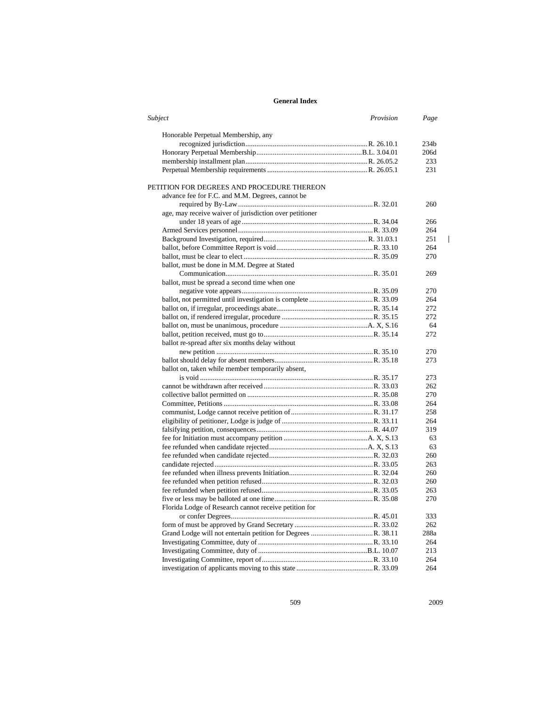| Subject                                                 | Provision | Page             |
|---------------------------------------------------------|-----------|------------------|
| Honorable Perpetual Membership, any                     |           |                  |
|                                                         |           | 234 <sub>b</sub> |
|                                                         |           | 206d             |
|                                                         |           | 233              |
|                                                         |           | 231              |
| PETITION FOR DEGREES AND PROCEDURE THEREON              |           |                  |
| advance fee for F.C. and M.M. Degrees, cannot be        |           |                  |
|                                                         |           | 260              |
| age, may receive waiver of jurisdiction over petitioner |           |                  |
|                                                         |           | 266              |
|                                                         |           | 264              |
|                                                         |           | 251              |
|                                                         |           | 264              |
|                                                         |           | 270              |
| ballot, must be done in M.M. Degree at Stated           |           |                  |
|                                                         |           | 269              |
| ballot, must be spread a second time when one           |           |                  |
|                                                         |           | 270              |
|                                                         |           | 264              |
|                                                         |           | 272              |
|                                                         |           | 272              |
|                                                         |           | 64               |
|                                                         |           | 272              |
| ballot re-spread after six months delay without         |           |                  |
|                                                         |           | 270              |
|                                                         |           | 273              |
| ballot on, taken while member temporarily absent,       |           |                  |
|                                                         |           | 273              |
|                                                         |           | 262              |
|                                                         |           | 270              |
|                                                         |           | 264              |
|                                                         |           | 258              |
|                                                         |           | 264              |
|                                                         |           | 319              |
|                                                         |           | 63               |
|                                                         |           | 63               |
|                                                         |           | 260              |
|                                                         |           | 263              |
|                                                         |           | 260              |
|                                                         |           | 260              |
|                                                         |           | 263              |
|                                                         |           | 270              |
| Florida Lodge of Research cannot receive petition for   |           |                  |
|                                                         |           | 333              |
|                                                         |           | 262              |
|                                                         |           | 288a             |
|                                                         |           | 264              |
|                                                         |           | 213              |
|                                                         |           | 264              |
|                                                         |           | 264              |
|                                                         |           |                  |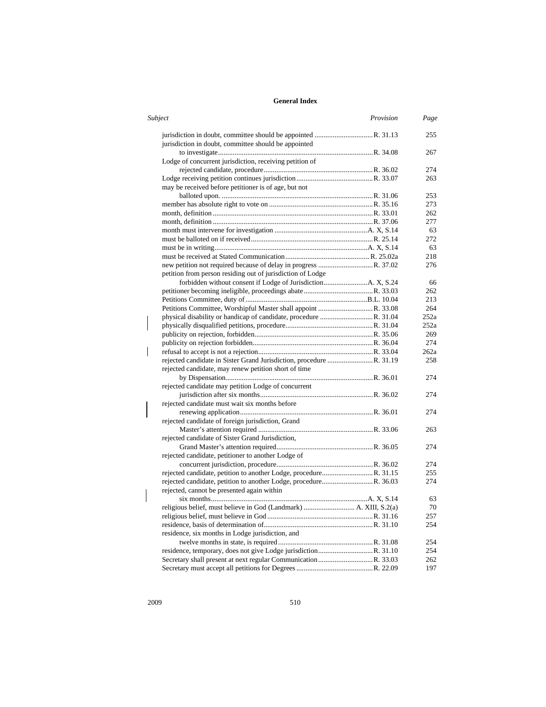| <b>Subject</b>                                                | Provision | Page |
|---------------------------------------------------------------|-----------|------|
| jurisdiction in doubt, committee should be appointed          |           | 255  |
|                                                               |           | 267  |
| Lodge of concurrent jurisdiction, receiving petition of       |           |      |
|                                                               |           | 274  |
|                                                               |           | 263  |
| may be received before petitioner is of age, but not          |           |      |
|                                                               |           | 253  |
|                                                               |           | 273  |
|                                                               |           | 262  |
|                                                               |           | 277  |
|                                                               |           | 63   |
|                                                               |           | 272  |
|                                                               |           | 63   |
|                                                               |           | 218  |
|                                                               |           | 276  |
| petition from person residing out of jurisdiction of Lodge    |           |      |
|                                                               |           | 66   |
|                                                               |           | 262  |
|                                                               |           | 213  |
| Petitions Committee, Worshipful Master shall appoint R. 33.08 |           | 264  |
|                                                               |           | 252a |
|                                                               |           | 252a |
|                                                               |           | 269  |
|                                                               |           | 274  |
|                                                               |           | 262a |
|                                                               |           | 258  |
| rejected candidate, may renew petition short of time          |           |      |
|                                                               |           |      |
|                                                               |           | 274  |
| rejected candidate may petition Lodge of concurrent           |           |      |
|                                                               |           | 274  |
| rejected candidate must wait six months before                |           |      |
|                                                               |           | 274  |
| rejected candidate of foreign jurisdiction, Grand             |           |      |
|                                                               |           | 263  |
| rejected candidate of Sister Grand Jurisdiction,              |           |      |
|                                                               |           | 274  |
| rejected candidate, petitioner to another Lodge of            |           |      |
|                                                               |           | 274  |
|                                                               |           | 255  |
|                                                               |           | 274  |
| rejected, cannot be presented again within                    |           |      |
|                                                               |           | 63   |
|                                                               |           | 70   |
|                                                               |           | 257  |
|                                                               |           | 254  |
| residence, six months in Lodge jurisdiction, and              |           |      |
|                                                               |           | 254  |
|                                                               |           | 254  |
|                                                               |           | 262  |
|                                                               |           | 197  |